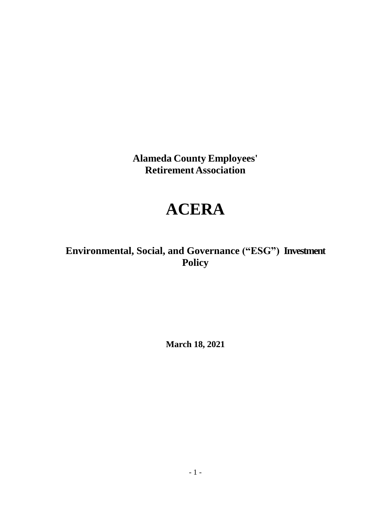**Alameda County Employees' Retirement Association**

# **ACERA**

## **Environmental, Social, and Governance ("ESG") Investment Policy**

**March 18, 2021**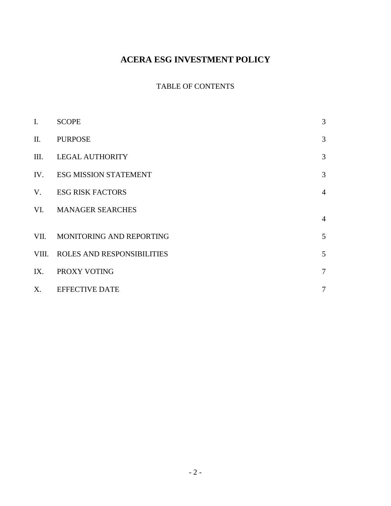## **ACERA ESG INVESTMENT POLICY**

### TABLE OF CONTENTS

| I.    | <b>SCOPE</b>                      | 3              |
|-------|-----------------------------------|----------------|
| II.   | <b>PURPOSE</b>                    | 3              |
| Ш.    | <b>LEGAL AUTHORITY</b>            | 3              |
| IV.   | <b>ESG MISSION STATEMENT</b>      | 3              |
| V.    | <b>ESG RISK FACTORS</b>           | $\overline{4}$ |
| VI.   | <b>MANAGER SEARCHES</b>           | $\overline{4}$ |
|       |                                   |                |
| VII.  | MONITORING AND REPORTING          | 5              |
| VIII. | <b>ROLES AND RESPONSIBILITIES</b> | 5              |
| IX.   | PROXY VOTING                      | $\tau$         |
| X.    | <b>EFFECTIVE DATE</b>             | 7              |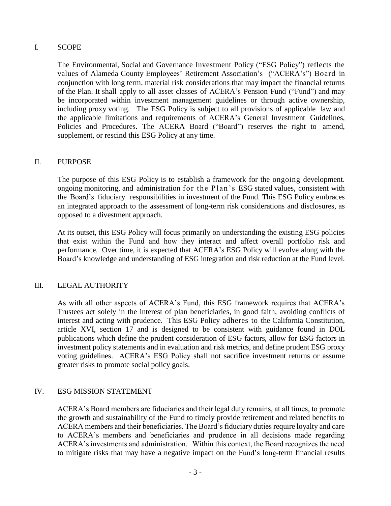#### I. SCOPE

The Environmental, Social and Governance Investment Policy ("ESG Policy") reflects the values of Alameda County Employees' Retirement Association's ("ACERA's") Board in conjunction with long term, material risk considerations that may impact the financial returns of the Plan. It shall apply to all asset classes of ACERA's Pension Fund ("Fund") and may be incorporated within investment management guidelines or through active ownership, including proxy voting. The ESG Policy is subject to all provisions of applicable law and the applicable limitations and requirements of ACERA's General Investment Guidelines, Policies and Procedures. The ACERA Board ("Board") reserves the right to amend, supplement, or rescind this ESG Policy at any time.

#### II. PURPOSE

The purpose of this ESG Policy is to establish a framework for the ongoing development. ongoing monitoring, and administration for the Plan's ESG stated values, consistent with the Board's fiduciary responsibilities in investment of the Fund. This ESG Policy embraces an integrated approach to the assessment of long-term risk considerations and disclosures, as opposed to a divestment approach.

At its outset, this ESG Policy will focus primarily on understanding the existing ESG policies that exist within the Fund and how they interact and affect overall portfolio risk and performance. Over time, it is expected that ACERA's ESG Policy will evolve along with the Board's knowledge and understanding of ESG integration and risk reduction at the Fund level.

#### III. LEGAL AUTHORITY

As with all other aspects of ACERA's Fund, this ESG framework requires that ACERA's Trustees act solely in the interest of plan beneficiaries, in good faith, avoiding conflicts of interest and acting with prudence. This ESG Policy adheres to the California Constitution, article XVI, section 17 and is designed to be consistent with guidance found in DOL publications which define the prudent consideration of ESG factors, allow for ESG factors in investment policy statements and in evaluation and risk metrics, and define prudent ESG proxy voting guidelines. ACERA's ESG Policy shall not sacrifice investment returns or assume greater risks to promote social policy goals.

#### IV. ESG MISSION STATEMENT

ACERA's Board members are fiduciaries and their legal duty remains, at all times, to promote the growth and sustainability of the Fund to timely provide retirement and related benefits to ACERA members and their beneficiaries. The Board's fiduciary duties require loyalty and care to ACERA's members and beneficiaries and prudence in all decisions made regarding ACERA's investments and administration. Within this context, the Board recognizes the need to mitigate risks that may have a negative impact on the Fund's long-term financial results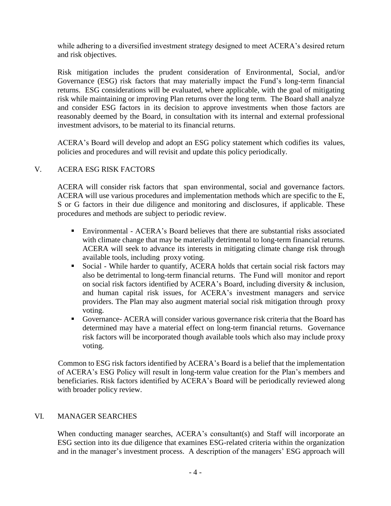while adhering to a diversified investment strategy designed to meet ACERA's desired return and risk objectives.

Risk mitigation includes the prudent consideration of Environmental, Social, and/or Governance (ESG) risk factors that may materially impact the Fund's long-term financial returns. ESG considerations will be evaluated, where applicable, with the goal of mitigating risk while maintaining or improving Plan returns over the long term. The Board shall analyze and consider ESG factors in its decision to approve investments when those factors are reasonably deemed by the Board, in consultation with its internal and external professional investment advisors, to be material to its financial returns.

ACERA's Board will develop and adopt an ESG policy statement which codifies its values, policies and procedures and will revisit and update this policy periodically.

#### V. ACERA ESG RISK FACTORS

ACERA will consider risk factors that span environmental, social and governance factors. ACERA will use various procedures and implementation methods which are specific to the E, S or G factors in their due diligence and monitoring and disclosures, if applicable. These procedures and methods are subject to periodic review.

- Environmental ACERA's Board believes that there are substantial risks associated with climate change that may be materially detrimental to long-term financial returns. ACERA will seek to advance its interests in mitigating climate change risk through available tools, including proxy voting.
- Social While harder to quantify, ACERA holds that certain social risk factors may also be detrimental to long-term financial returns. The Fund will monitor and report on social risk factors identified by ACERA's Board, including diversity & inclusion, and human capital risk issues, for ACERA's investment managers and service providers. The Plan may also augment material social risk mitigation through proxy voting.
- Governance- ACERA will consider various governance risk criteria that the Board has determined may have a material effect on long-term financial returns. Governance risk factors will be incorporated though available tools which also may include proxy voting.

Common to ESG risk factors identified by ACERA's Board is a belief that the implementation of ACERA's ESG Policy will result in long-term value creation for the Plan's members and beneficiaries. Risk factors identified by ACERA's Board will be periodically reviewed along with broader policy review.

#### VI. MANAGER SEARCHES

When conducting manager searches, ACERA's consultant(s) and Staff will incorporate an ESG section into its due diligence that examines ESG-related criteria within the organization and in the manager's investment process. A description of the managers' ESG approach will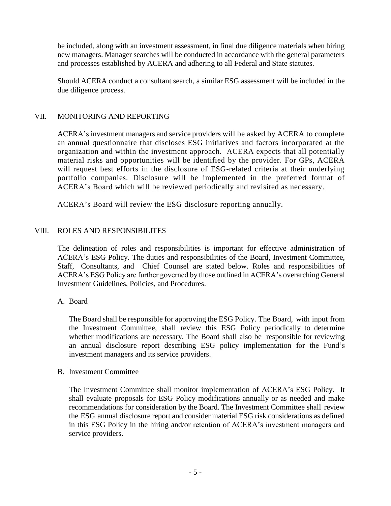be included, along with an investment assessment, in final due diligence materials when hiring new managers. Manager searches will be conducted in accordance with the general parameters and processes established by ACERA and adhering to all Federal and State statutes.

Should ACERA conduct a consultant search, a similar ESG assessment will be included in the due diligence process.

#### VII. MONITORING AND REPORTING

ACERA's investment managers and service providers will be asked by ACERA to complete an annual questionnaire that discloses ESG initiatives and factors incorporated at the organization and within the investment approach. ACERA expects that all potentially material risks and opportunities will be identified by the provider. For GPs, ACERA will request best efforts in the disclosure of ESG-related criteria at their underlying portfolio companies. Disclosure will be implemented in the preferred format of ACERA's Board which will be reviewed periodically and revisited as necessary.

ACERA's Board will review the ESG disclosure reporting annually.

#### VIII. ROLES AND RESPONSIBILITES

The delineation of roles and responsibilities is important for effective administration of ACERA's ESG Policy. The duties and responsibilities of the Board, Investment Committee, Staff, Consultants, and Chief Counsel are stated below. Roles and responsibilities of ACERA's ESG Policy are further governed by those outlined in ACERA's overarching General Investment Guidelines, Policies, and Procedures.

#### A. Board

The Board shall be responsible for approving the ESG Policy. The Board, with input from the Investment Committee, shall review this ESG Policy periodically to determine whether modifications are necessary. The Board shall also be responsible for reviewing an annual disclosure report describing ESG policy implementation for the Fund's investment managers and its service providers.

#### B. Investment Committee

The Investment Committee shall monitor implementation of ACERA's ESG Policy. It shall evaluate proposals for ESG Policy modifications annually or as needed and make recommendations for consideration by the Board. The Investment Committee shall review the ESG annual disclosure report and consider material ESG risk considerations as defined in this ESG Policy in the hiring and/or retention of ACERA's investment managers and service providers.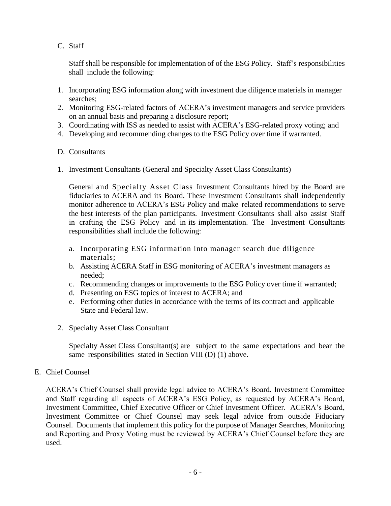C. Staff

Staff shall be responsible for implementation of of the ESG Policy. Staff's responsibilities shall include the following:

- 1. Incorporating ESG information along with investment due diligence materials in manager searches;
- 2. Monitoring ESG-related factors of ACERA's investment managers and service providers on an annual basis and preparing a disclosure report;
- 3. Coordinating with ISS as needed to assist with ACERA's ESG-related proxy voting; and
- 4. Developing and recommending changes to the ESG Policy over time if warranted.
- D. Consultants
- 1. Investment Consultants (General and Specialty Asset Class Consultants)

General and Specialty Asset Class Investment Consultants hired by the Board are fiduciaries to ACERA and its Board. These Investment Consultants shall independently monitor adherence to ACERA's ESG Policy and make related recommendations to serve the best interests of the plan participants. Investment Consultants shall also assist Staff in crafting the ESG Policy and in its implementation. The Investment Consultants responsibilities shall include the following:

- a. Incorporating ESG information into manager search due diligence materials;
- b. Assisting ACERA Staff in ESG monitoring of ACERA's investment managers as needed;
- c. Recommending changes or improvements to the ESG Policy over time if warranted;
- d. Presenting on ESG topics of interest to ACERA; and
- e. Performing other duties in accordance with the terms of its contract and applicable State and Federal law.
- 2. Specialty Asset Class Consultant

Specialty Asset Class Consultant(s) are subject to the same expectations and bear the same responsibilities stated in Section VIII (D) (1) above.

E. Chief Counsel

ACERA's Chief Counsel shall provide legal advice to ACERA's Board, Investment Committee and Staff regarding all aspects of ACERA's ESG Policy, as requested by ACERA's Board, Investment Committee, Chief Executive Officer or Chief Investment Officer. ACERA's Board, Investment Committee or Chief Counsel may seek legal advice from outside Fiduciary Counsel. Documents that implement this policy for the purpose of Manager Searches, Monitoring and Reporting and Proxy Voting must be reviewed by ACERA's Chief Counsel before they are used.